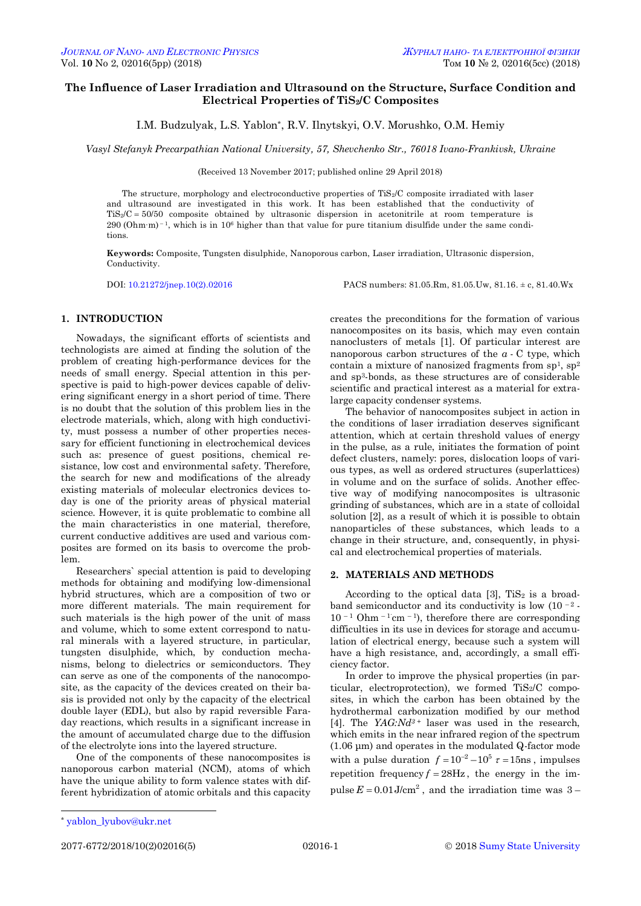# **The Influence of Laser Irradiation and Ultrasound on the Structure, Surface Condition and Electrical Properties of TiS2/C Composites**

I.M. Budzulyak, L.S. Yablon\*, R.V. Ilnytskyi, O.V. Morushko, O.M. Hemiy

*Vasyl Stefanyk Precarpathian National University, 57, Shevchenko Str., 76018 Ivano-Frankivsk, Ukraine*

(Received 13 November 2017; published online 29 April 2018)

The structure, morphology and electroconductive properties of TiS<sub>2</sub>/C composite irradiated with laser and ultrasound are investigated in this work. It has been established that the conductivity of  $TiS<sub>2</sub>/C = 50/50$  composite obtained by ultrasonic dispersion in acetonitrile at room temperature is 290 (Оhm∙m) – <sup>1</sup>, which is in 10<sup>6</sup> higher than that value for pure titanium disulfide under the same conditions.

**Keywords:** Composite, Tungsten disulphide, Nanoporous carbon, Laser irradiation, Ultrasonic dispersion, Conductivity.

DOI: [10.21272/jnep.10\(2\).02016](https://doi.org/10.21272/jnep.10(2).02016) PACS numbers: 81.05.Rm, 81.05.Uw, 81.16. ± c, 81.40.Wx

### **1. INTRODUCTION**

Nowadays, the significant efforts of scientists and technologists are aimed at finding the solution of the problem of creating high-performance devices for the needs of small energy. Special attention in this perspective is paid to high-power devices capable of delivering significant energy in a short period of time. There is no doubt that the solution of this problem lies in the electrode materials, which, along with high conductivity, must possess a number of other properties necessary for efficient functioning in electrochemical devices such as: presence of guest positions, chemical resistance, low cost and environmental safety. Therefore, the search for new and modifications of the already existing materials of molecular electronics devices today is one of the priority areas of physical material science. However, it is quite problematic to combine all the main characteristics in one material, therefore, current conductive additives are used and various composites are formed on its basis to overcome the problem.

Researchers` special attention is paid to developing methods for obtaining and modifying low-dimensional hybrid structures, which are a composition of two or more different materials. The main requirement for such materials is the high power of the unit of mass and volume, which to some extent correspond to natural minerals with a layered structure, in particular, tungsten disulphide, which, by conduction mechanisms, belong to dielectrics or semiconductors. They can serve as one of the components of the nanocomposite, as the capacity of the devices created on their basis is provided not only by the capacity of the electrical double layer (EDL), but also by rapid reversible Faraday reactions, which results in a significant increase in the amount of accumulated charge due to the diffusion of the electrolyte ions into the layered structure.

One of the components of these nanocomposites is nanoporous carbon material (NCM), atoms of which have the unique ability to form valence states with different hybridization of atomic orbitals and this capacity creates the preconditions for the formation of various nanocomposites on its basis, which may even contain nanoclusters of metals [1]. Of particular interest are nanoporous carbon structures of the *а* - С type, which contain a mixture of nanosized fragments from  $sp<sup>1</sup>$ ,  $sp<sup>2</sup>$ and sp3-bonds, as these structures are of considerable scientific and practical interest as a material for extralarge capacity condenser systems.

The behavior of nanocomposites subject in action in the conditions of laser irradiation deserves significant attention, which at certain threshold values of energy in the pulse, as a rule, initiates the formation of point defect clusters, namely: pores, dislocation loops of various types, as well as ordered structures (superlattices) in volume and on the surface of solids. Another effective way of modifying nanocomposites is ultrasonic grinding of substances, which are in a state of colloidal solution [2], as a result of which it is possible to obtain nanoparticles of these substances, which leads to a change in their structure, and, consequently, in physical and electrochemical properties of materials.

## **2. MATERIALS AND METHODS**

According to the optical data  $[3]$ ,  $TiS<sub>2</sub>$  is a broadband semiconductor and its conductivity is low  $(10^{-2} 10^{-1}$  Ohm<sup>-1</sup> cm<sup>-1</sup>), therefore there are corresponding difficulties in its use in devices for storage and accumulation of electrical energy, because such a system will have a high resistance, and, accordingly, a small efficiency factor.

In order to improve the physical properties (in particular, electroprotection), we formed TiS2/C composites, in which the carbon has been obtained by the hydrothermal carbonization modified by our method [4]. The  $YAG:Nd^{3+}$  laser was used in the research, which emits in the near infrared region of the spectrum (1.06 μm) and operates in the modulated Q-factor mode with a pulse duration  $f = 10^{-2} - 10^5 \tau = 15$ ns, impulses repetition frequency  $f = 28$ Hz, the energy in the impulse  $E = 0.01$  J/cm<sup>2</sup>, and the irradiation time was 3 –

-

<span id="page-0-3"></span><span id="page-0-2"></span><span id="page-0-1"></span><span id="page-0-0"></span>

<sup>\*</sup> [yablon\\_lyubov@ukr.net](mailto:yablon%1F_lyubov@ukr.net)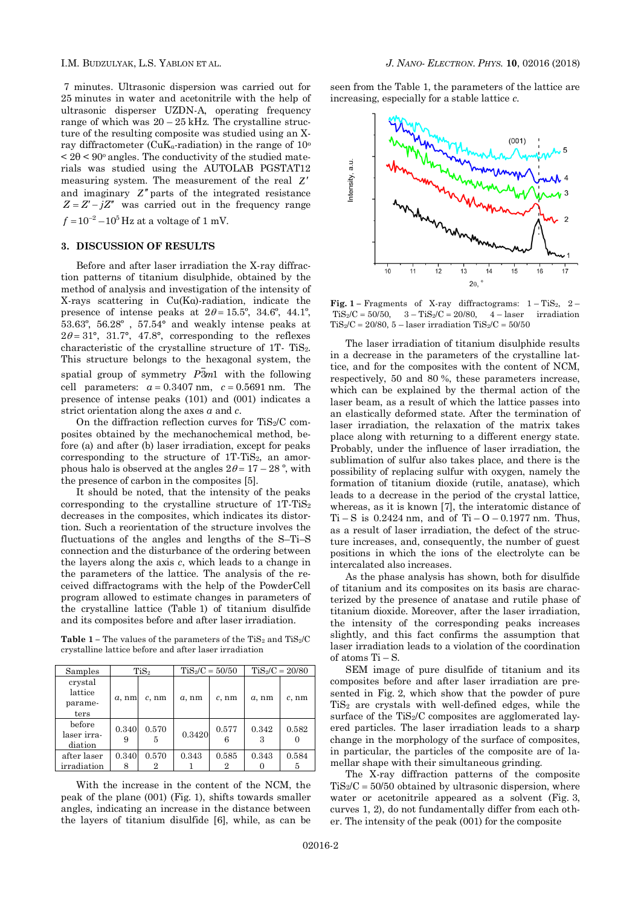7 minutes. Ultrasonic dispersion was carried out for 25 minutes in water and acetonitrile with the help of ultrasonic disperser UZDN-A, operating frequency range of which was  $20 - 25$  kHz. The crystalline structure of the resulting composite was studied using an Xray diffractometer (CuK<sub>a</sub>-radiation) in the range of  $10^{\circ}$  $< 2\theta < 90^{\circ}$  angles. The conductivity of the studied materials was studied using the AUTOLAB PGSTAT12 measuring system. The measurement of the real *Z* and imaginary *Z* parts of the integrated resistance  $Z = Z' - jZ''$  was carried out in the frequency range  $f = 10^{-2} - 10^{5}$  Hz at a voltage of 1 mV.

#### **3. DISCUSSION OF RESULTS**

Before and after laser irradiation the X-ray diffraction patterns of titanium disulphide, obtained by the method of analysis and investigation of the intensity of X-rays scattering in Cu(Kα)-radiation, indicate the presence of intense peaks at  $2\theta = 15.5^{\circ}$ ,  $34.6^{\circ}$ ,  $44.1^{\circ}$ , 53.63º, 56.28º , 57.54° and weakly intense peaks at  $2\theta = 31^{\circ}$ ,  $31.7^{\circ}$ ,  $47.8^{\circ}$ , corresponding to the reflexes characteristic of the crystalline structure of 1T- TiS<sub>2</sub>. This structure belongs to the hexagonal system, the spatial group of symmetry  $P3m1$  with the following cell parameters:  $a = 0.3407$  nm,  $c = 0.5691$  nm. The presence of intense peaks (101) and (001) indicates a strict orientation along the axes *a* and *c*.

On the diffraction reflection curves for  $TiS<sub>2</sub>/C$  composites obtained by the mechanochemical method, before (a) and after (b) laser irradiation, except for peaks corresponding to the structure of 1T-TiS2, an amorphous halo is observed at the angles  $2\theta = 17 - 28$ <sup>°</sup>, with the presence of carbon in the composites [5].

It should be noted, that the intensity of the peaks corresponding to the crystalline structure of  $1T-TiS<sub>2</sub>$ decreases in the composites, which indicates its distortion. Such a reorientation of the structure involves the fluctuations of the angles and lengths of the S–Ti–S connection and the disturbance of the ordering between the layers along the axis *с*, which leads to a change in the parameters of the lattice. The analysis of the received diffractograms with the help of the PowderCell program allowed to estimate changes in parameters of the crystalline lattice (Table 1) of titanium disulfide and its composites before and after laser irradiation.

**Table**  $1$  – The values of the parameters of the TiS<sub>2</sub> and TiS<sub>2</sub>/C crystalline lattice before and after laser irradiation

| Samples                          | TiS <sub>2</sub> |            | $TiS_2/C = 50/50$ |          | $TiS_2/C = 20/80$ |          |
|----------------------------------|------------------|------------|-------------------|----------|-------------------|----------|
| crystal<br>lattice               | $a$ , nm         | $c$ , nm   | $a$ , nm          | $c$ , nm | $a$ , nm          | $c$ , nm |
| parame-<br>ters                  |                  |            |                   |          |                   |          |
| before<br>laser irra-<br>diation | 0.340<br>9       | 0.570<br>5 | 0.3420            | 0.577    | 0.342<br>З        | 0.582    |
| after laser                      | 0.340            | 0.570      | 0.343             | 0.585    | 0.343             | 0.584    |
| irradiation                      | 8                | 2          |                   | 9.       |                   | 5        |

With the increase in the content of the NСM, the peak of the plane (001) (Fig. 1), shifts towards smaller angles, indicating an increase in the distance between the layers of titanium disulfide [6], while, as can be

seen from the Table 1, the parameters of the lattice are increasing, especially for a stable lattice *с*.



**Fig. 1** – Fragments of X-ray diffractograms:  $1 - TiS<sub>2</sub>$ ,  $2 - TiS<sub>1</sub>$  $TiS_2/C = 50/50$ ,  $3 - TiS_2/C = 20/80$ ,  $4 - laser$  irradiation TiS<sub>2</sub>/C = 20/80, 5 – laser irradiation TiS<sub>2</sub>/C = 50/50

The laser irradiation of titanium disulphide results in a decrease in the parameters of the crystalline lattice, and for the composites with the content of NСM, respectively, 50 and 80 %, these parameters increase, which can be explained by the thermal action of the laser beam, as a result of which the lattice passes into an elastically deformed state. After the termination of laser irradiation, the relaxation of the matrix takes place along with returning to a different energy state. Probably, under the influence of laser irradiation, the sublimation of sulfur also takes place, and there is the possibility of replacing sulfur with oxygen, namely the formation of titanium dioxide (rutile, anatase), which leads to a decrease in the period of the crystal lattice, whereas, as it is known [7], the interatomic distance of  $Ti-S$  is 0.2424 nm, and of  $Ti-O-0.1977$  nm. Thus, as a result of laser irradiation, the defect of the structure increases, and, consequently, the number of guest positions in which the ions of the electrolyte can be intercalated also increases.

As the phase analysis has shown, both for disulfide of titanium and its composites on its basis are characterized by the presence of anatase and rutile phase of titanium dioxide. Moreover, after the laser irradiation, the intensity of the corresponding peaks increases slightly, and this fact confirms the assumption that laser irradiation leads to a violation of the coordination of atoms Ті – S.

SEM image of pure disulfide of titanium and its composites before and after laser irradiation are presented in Fig. 2, which show that the powder of pure  $TiS<sub>2</sub>$  are crystals with well-defined edges, while the surface of the TiS<sub>2</sub>/C composites are agglomerated layered particles. The laser irradiation leads to a sharp change in the morphology of the surface of composites, in particular, the particles of the composite are of lamellar shape with their simultaneous grinding.

The X-ray diffraction patterns of the composite  $TiS<sub>2</sub>/C = 50/50$  obtained by ultrasonic dispersion, where water or acetonitrile appeared as a solvent (Fig. 3, curves 1, 2), do not fundamentally differ from each other. The intensity of the peak (001) for the composite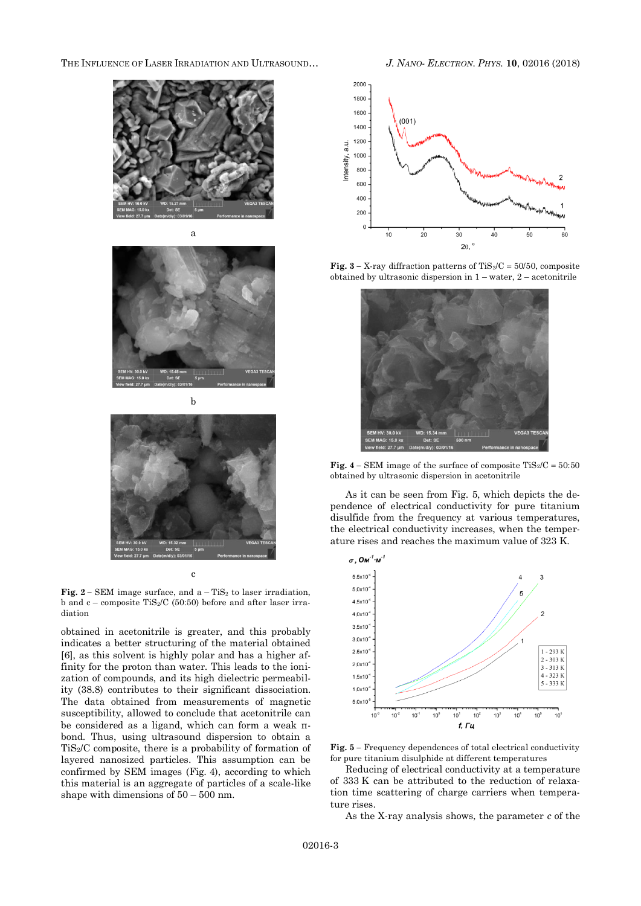THE INFLUENCE OF LASER IRRADIATION AND ULTRASOUND… *J. NANO- ELECTRON. PHYS.* **[10](#page-0-2)**, [02016](#page-0-2) [\(2018\)](#page-0-2)





a



c

**Fig. 2** – SEM image surface, and  $a - TiS_2$  to laser irradiation, b and c – composite TiS<sub>2</sub>/C (50:50) before and after laser irradiation

obtained in acetonitrile is greater, and this probably indicates a better structuring of the material obtained [6], as this solvent is highly polar and has a higher affinity for the proton than water. This leads to the ionization of compounds, and its high dielectric permeability (38.8) contributes to their significant dissociation. The data obtained from measurements of magnetic susceptibility, allowed to conclude that acetonitrile can be considered as a ligand, which can form a weak πbond. Thus, using ultrasound dispersion to obtain a TiS2/C composite, there is a probability of formation of layered nanosized particles. This assumption can be confirmed by SEM images (Fig. 4), according to which this material is an aggregate of particles of a scale-like shape with dimensions of 50 – 500 nm.



**Fig. 3** – X-ray diffraction patterns of TiS<sub>2</sub>/C =  $50/50$ , composite obtained by ultrasonic dispersion in 1 – water, 2 – acetonitrile



**Fig. 4** – SEM image of the surface of composite  $\text{TiS}_2/\text{C} = 50:50$ obtained by ultrasonic dispersion in acetonitrile

As it can be seen from Fig. 5, which depicts the dependence of electrical conductivity for pure titanium disulfide from the frequency at various temperatures, the electrical conductivity increases, when the temperature rises and reaches the maximum value of 323 K.



**Fig. 5 –** Frequency dependences of total electrical conductivity for pure titanium disulphide at different temperatures

Reducing of electrical conductivity at a temperature of 333 K can be attributed to the reduction of relaxation time scattering of charge carriers when temperature rises.

As the X-ray analysis shows, the parameter *c* of the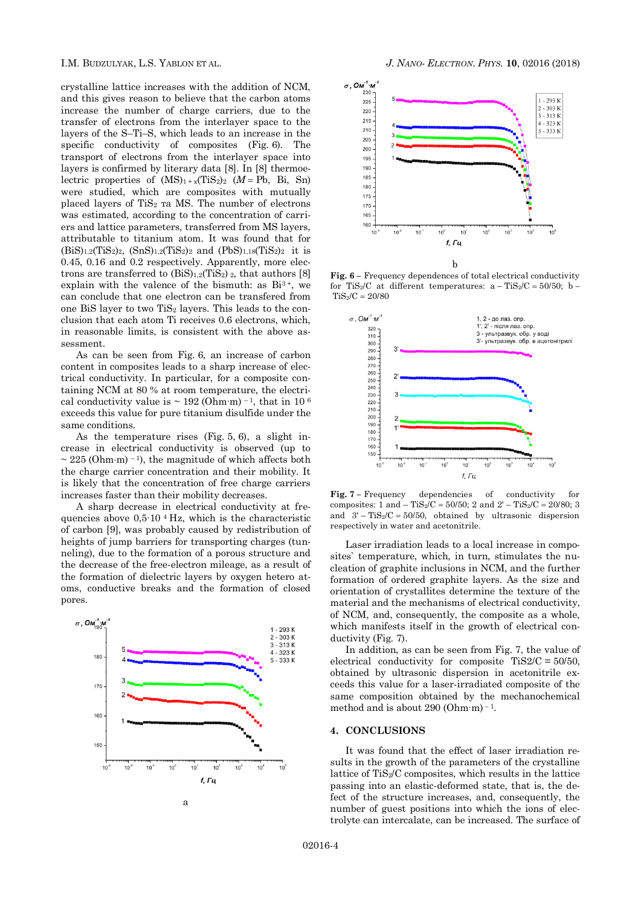crystalline lattice increases with the addition of NCM, and this gives reason to believe that the carbon atoms increase the number of charge carriers, due to the transfer of electrons from the interlayer space to the layers of the S–Ti–S, which leads to an increase in the specific conductivity of composites (Fig. 6). The transport of electrons from the interlayer space into layers is confirmed by literary data [8]. In [8] thermoelectric properties of  $(MS)_{1+x}(TiS_2)_2$   $(M = Pb, Bi, Sn)$ were studied, which are composites with mutually placed layers of  $TiS<sub>2</sub>$  ra MS. The number of electrons was estimated, according to the concentration of carriers and lattice parameters, transferred from MS layers, attributable to titanium atom. It was found that for  $(BiS)_{1,2}(TiS_2)_2$ ,  $(SnS)_{1,2}(TiS_2)_2$  and  $(PbS)_{1,18}(TiS_2)_2$  it is 0.45, 0.16 and 0.2 respectively. Apparently, more electrons are transferred to  $(BiS)_{1,2}(TiS_2)$ , that authors [8] explain with the valence of the bismuth: as  $Bi^{3+}$ , we can conclude that one electron can be transfered from one BiS layer to two TiS<sup>2</sup> layers. This leads to the conclusion that each atom Ti receives 0.6 electrons, which, in reasonable limits, is consistent with the above assessment.

As can be seen from Fig. 6, an increase of carbon content in composites leads to a sharp increase of electrical conductivity. In particular, for a composite containing NCM at 80 % at room temperature, the electrical conductivity value is ~ 192 (Ohm⋅m)  $^{-1}$ , that in 10<sup>6</sup> exceeds this value for pure titanium disulfide under the same conditions.

As the temperature rises (Fig. 5, 6), a slight increase in electrical conductivity is observed (up to  $\sim$  225 (Ohm·m) <sup>-1</sup>), the magnitude of which affects both the charge carrier concentration and their mobility. It is likely that the concentration of free charge carriers increases faster than their mobility decreases.

A sharp decrease in electrical conductivity at frequencies above 0,5∙10 <sup>4</sup> Hz, which is the characteristic of carbon [9], was probably caused by redistribution of heights of jump barriers for transporting charges (tunneling), due to the formation of a porous structure and the decrease of the free-electron mileage, as a result of the formation of dielectric layers by oxygen hetero atoms, conductive breaks and the formation of closed pores.





**Fig. 6 –** Frequency dependences of total electrical conductivity for TiS<sub>2</sub>/C at different temperatures:  $a - TiS<sub>2</sub>/C = 50/50$ ;  $b TiS_2/C = 20/80$ 



**Fig. 7 –** Frequency dependencies of conductivity for composites: 1 and – TiS<sub>2</sub>/C = 50/50; 2 and 2' – TiS<sub>2</sub>/C = 20/80; 3 and  $3' - TiS_2/C = 50/50$ , obtained by ultrasonic dispersion respectively in water and acetonitrile.

Laser irradiation leads to a local increase in composites` temperature, which, in turn, stimulates the nucleation of graphite inclusions in NCM, and the further formation of ordered graphite layers. As the size and orientation of crystallites determine the texture of the material and the mechanisms of electrical conductivity, of NCM, and, consequently, the composite as a whole, which manifests itself in the growth of electrical conductivity (Fig. 7).

In addition, as can be seen from Fig. 7, the value of electrical conductivity for composite  $T_i$ S2/C = 50/50, obtained by ultrasonic dispersion in acetonitrile exceeds this value for a laser-irradiated composite of the same composition obtained by the mechanochemical method and is about 290 (Оhm∙m) – <sup>1</sup>.

#### **4. CONCLUSIONS**

It was found that the effect of laser irradiation results in the growth of the parameters of the crystalline lattice of TiS2/C composites, which results in the lattice passing into an elastic-deformed state, that is, the defect of the structure increases, and, consequently, the number of guest positions into which the ions of electrolyte can intercalate, can be increased. The surface of